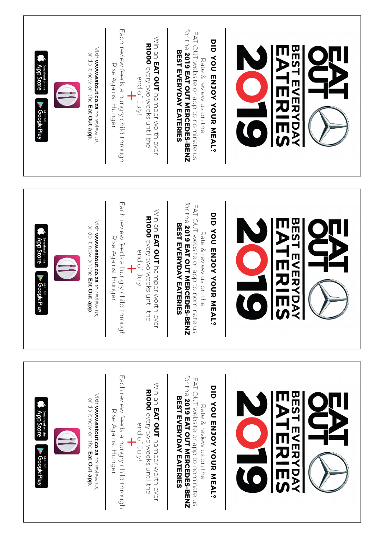